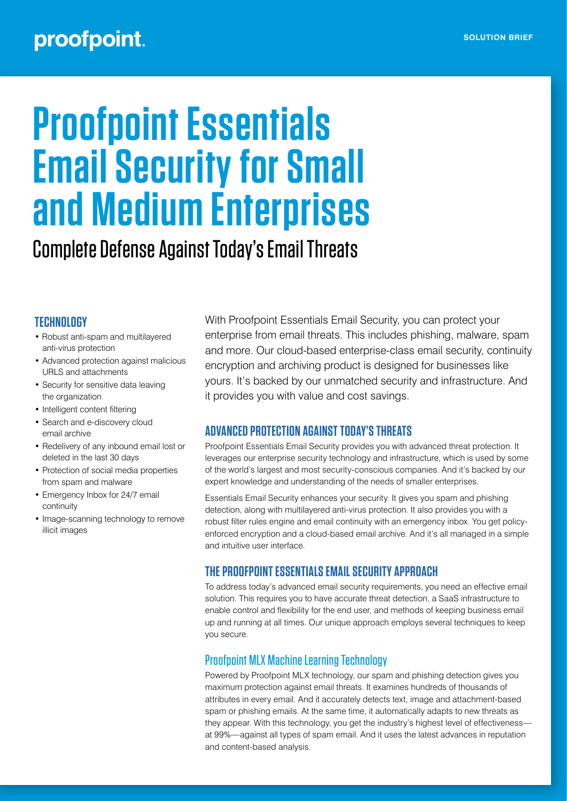## proofpoint.

# **Proofpoint Essentials Email Security for Small and Medium Enterprises**

Complete Defense Against Today's Email Threats

#### **TECHNOLOGY**

- Robust anti-spam and multilayered anti-virus protection
- Advanced protection against malicious URLS and attachments
- Security for sensitive data leaving the organization
- Intelligent content filtering
- Search and e-discovery cloud email archive
- Redelivery of any inbound email lost or deleted in the last 30 days
- Protection of social media properties from spam and malware
- Emergency Inbox for 24/7 email continuity
- Image-scanning technology to remove illicit images

With Proofpoint Essentials Email Security, you can protect your enterprise from email threats. This includes phishing, malware, spam and more. Our cloud-based enterprise-class email security, continuity encryption and archiving product is designed for businesses like yours. It's backed by our unmatched security and infrastructure. And it provides you with value and cost savings.

#### **ADVANCED PROTECTION AGAINST TODAY'S THREATS**

Proofpoint Essentials Email Security provides you with advanced threat protection. It leverages our enterprise security technology and infrastructure, which is used by some of the world's largest and most security-conscious companies. And it's backed by our expert knowledge and understanding of the needs of smaller enterprises.

Essentials Email Security enhances your security. It gives you spam and phishing detection, along with multilayered anti-virus protection. It also provides you with a robust filter rules engine and email continuity with an emergency inbox. You get policyenforced encryption and a cloud-based email archive. And it's all managed in a simple and intuitive user interface.

### **THE PROOFPOINT ESSENTIALS EMAIL SECURITY APPROACH**

To address today's advanced email security requirements, you need an effective email solution. This requires you to have accurate threat detection, a SaaS infrastructure to enable control and flexibility for the end user, and methods of keeping business email up and running at all times. Our unique approach employs several techniques to keep you secure.

#### Proofpoint MLX Machine Learning Technology

Powered by Proofpoint MLX technology, our spam and phishing detection gives you maximum protection against email threats. It examines hundreds of thousands of attributes in every email. And it accurately detects text, image and attachment-based spam or phishing emails. At the same time, it automatically adapts to new threats as they appear. With this technology, you get the industry's highest level of effectiveness at 99%—against all types of spam email. And it uses the latest advances in reputation and content-based analysis.